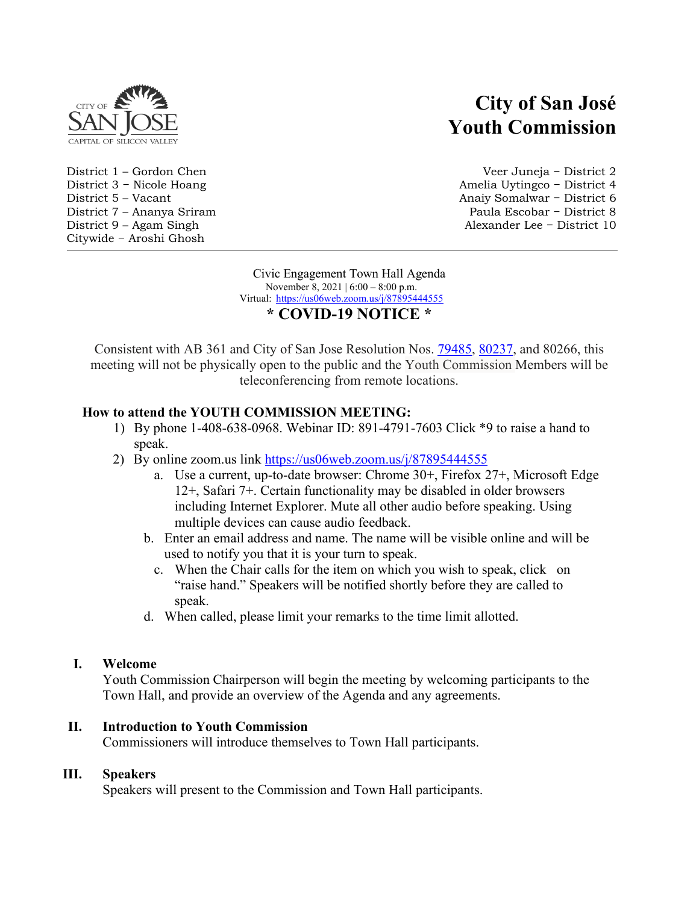

Citywide − Aroshi Ghosh

# **City of San José Youth Commission**

District 1 – Gordon Chen Veer Juneja − District 2 District 3 − Nicole Hoang Amelia Uytingco − District 4 District 5 – Vacant Anaiy Somalwar − District 6 District 7 – Ananya Sriram Paula Escobar − District 8 District 9 – Agam Singh Alexander Lee − District 10

> Civic Engagement Town Hall Agenda November 8, 2021 | 6:00 – 8:00 p.m. Virtual: <https://us06web.zoom.us/j/87895444555> **\* COVID-19 NOTICE \***

Consistent with AB 361 and City of San Jose Resolution Nos. [79485,](https://records.sanjoseca.gov/Resolutions/RES79485.pdf) [80237,](https://records.sanjoseca.gov/Resolutions/RES80237.pdf) and 80266, this meeting will not be physically open to the public and the Youth Commission Members will be teleconferencing from remote locations.

# **How to attend the YOUTH COMMISSION MEETING:**

- 1) By phone 1-408-638-0968. Webinar ID: 891-4791-7603 Click \*9 to raise a hand to speak.
- 2) By online zoom.us link<https://us06web.zoom.us/j/87895444555>
	- a. Use a current, up-to-date browser: Chrome 30+, Firefox 27+, Microsoft Edge 12+, Safari 7+. Certain functionality may be disabled in older browsers including Internet Explorer. Mute all other audio before speaking. Using multiple devices can cause audio feedback.
	- b. Enter an email address and name. The name will be visible online and will be used to notify you that it is your turn to speak.
		- c. When the Chair calls for the item on which you wish to speak, click on "raise hand." Speakers will be notified shortly before they are called to speak.
	- d. When called, please limit your remarks to the time limit allotted.

# **I. Welcome**

Youth Commission Chairperson will begin the meeting by welcoming participants to the Town Hall, and provide an overview of the Agenda and any agreements.

# **II. Introduction to Youth Commission**

Commissioners will introduce themselves to Town Hall participants.

# **III. Speakers**

Speakers will present to the Commission and Town Hall participants.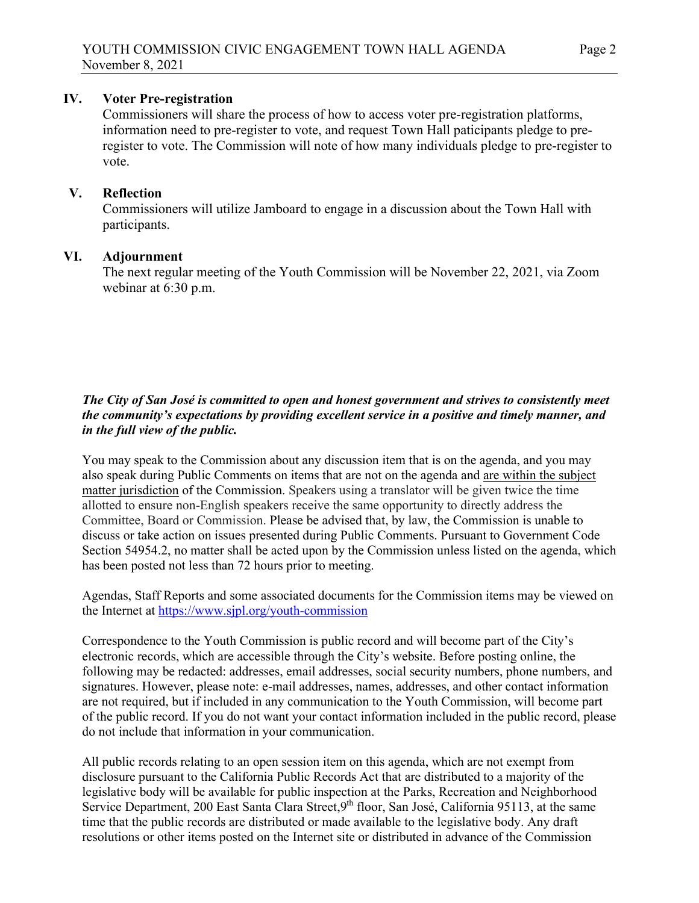### **IV. Voter Pre-registration**

Commissioners will share the process of how to access voter pre-registration platforms, information need to pre-register to vote, and request Town Hall paticipants pledge to preregister to vote. The Commission will note of how many individuals pledge to pre-register to vote.

### **V. Reflection**

Commissioners will utilize Jamboard to engage in a discussion about the Town Hall with participants.

#### **VI. Adjournment**

The next regular meeting of the Youth Commission will be November 22, 2021, via Zoom webinar at 6:30 p.m.

# *The City of San José is committed to open and honest government and strives to consistently meet the community's expectations by providing excellent service in a positive and timely manner, and in the full view of the public.*

You may speak to the Commission about any discussion item that is on the agenda, and you may also speak during Public Comments on items that are not on the agenda and are within the subject matter jurisdiction of the Commission. Speakers using a translator will be given twice the time allotted to ensure non-English speakers receive the same opportunity to directly address the Committee, Board or Commission. Please be advised that, by law, the Commission is unable to discuss or take action on issues presented during Public Comments. Pursuant to Government Code Section 54954.2, no matter shall be acted upon by the Commission unless listed on the agenda, which has been posted not less than 72 hours prior to meeting.

Agendas, Staff Reports and some associated documents for the Commission items may be viewed on the Internet at<https://www.sjpl.org/youth-commission>

Correspondence to the Youth Commission is public record and will become part of the City's electronic records, which are accessible through the City's website. Before posting online, the following may be redacted: addresses, email addresses, social security numbers, phone numbers, and signatures. However, please note: e-mail addresses, names, addresses, and other contact information are not required, but if included in any communication to the Youth Commission, will become part of the public record. If you do not want your contact information included in the public record, please do not include that information in your communication.

All public records relating to an open session item on this agenda, which are not exempt from disclosure pursuant to the California Public Records Act that are distributed to a majority of the legislative body will be available for public inspection at the Parks, Recreation and Neighborhood Service Department, 200 East Santa Clara Street,9<sup>th</sup> floor, San José, California 95113, at the same time that the public records are distributed or made available to the legislative body. Any draft resolutions or other items posted on the Internet site or distributed in advance of the Commission